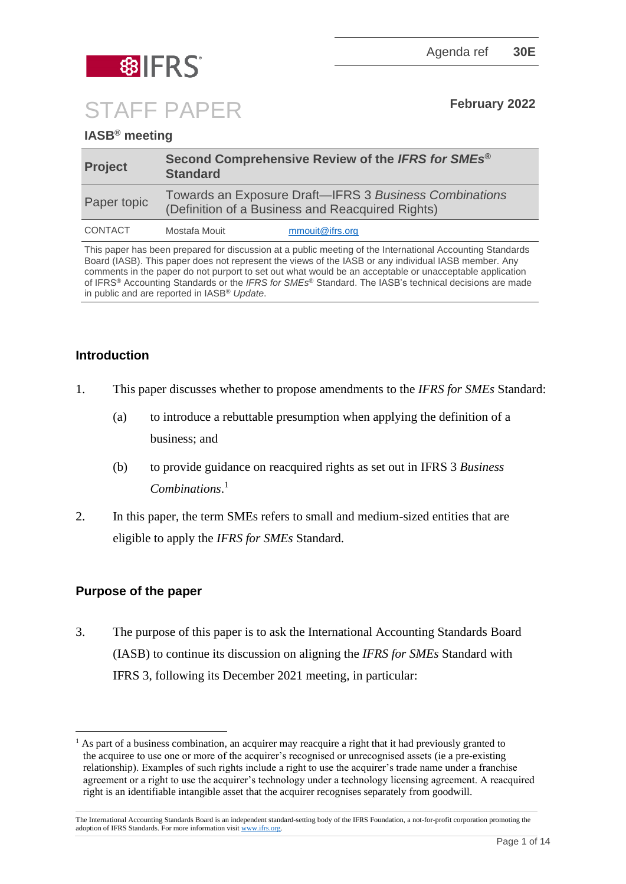



STAFF PAPER **February <sup>2022</sup>**

# **IASB® meeting**

| <b>Project</b> | Second Comprehensive Review of the IFRS for SMEs <sup>®</sup><br><b>Standard</b>                           |                 |
|----------------|------------------------------------------------------------------------------------------------------------|-----------------|
| Paper topic    | Towards an Exposure Draft-IFRS 3 Business Combinations<br>(Definition of a Business and Reacquired Rights) |                 |
| CONTACT        | Mostafa Mouit                                                                                              | mmouit@ifrs.org |

This paper has been prepared for discussion at a public meeting of the International Accounting Standards Board (IASB). This paper does not represent the views of the IASB or any individual IASB member. Any comments in the paper do not purport to set out what would be an acceptable or unacceptable application of IFRS® Accounting Standards or the *IFRS for SMEs*® Standard. The IASB's technical decisions are made in public and are reported in IASB® *Update*.

## **Introduction**

- 1. This paper discusses whether to propose amendments to the *IFRS for SMEs* Standard:
	- (a) to introduce a rebuttable presumption when applying the definition of a business; and
	- (b) to provide guidance on reacquired rights as set out in IFRS 3 *Business Combinations*. 1
- 2. In this paper, the term SMEs refers to small and medium-sized entities that are eligible to apply the *IFRS for SMEs* Standard.

## **Purpose of the paper**

3. The purpose of this paper is to ask the International Accounting Standards Board (IASB) to continue its discussion on aligning the *IFRS for SMEs* Standard with IFRS 3, following its December 2021 meeting, in particular:

<sup>1</sup> As part of a [business combination,](https://eifrs.ifrs.org/eifrs/ViewContent?collection=2021_Annotated_Required_Standards&fn=IFRS03_APPA.html&scrollTo=IFRS03_APPA__IFRS03_P0304) an [acquirer](https://eifrs.ifrs.org/eifrs/ViewContent?collection=2021_Annotated_Required_Standards&fn=IFRS03_APPA.html&scrollTo=IFRS03_APPA__IFRS03_P0297) may reacquire a right that it had previously granted to the [acquiree](https://eifrs.ifrs.org/eifrs/ViewContent?collection=2021_Annotated_Required_Standards&fn=IFRS03_APPA.html&scrollTo=IFRS03_APPA__IFRS03_P0296) to use one or more of the acquirer's recognised or unrecognised assets (ie a pre-existing relationship). Examples of such rights include a right to use the acquirer's trade name under a franchise agreement or a right to use the acquirer's technology under a technology licensing agreement. A reacquired right is an [identifiable](https://eifrs.ifrs.org/eifrs/ViewContent?collection=2021_Annotated_Required_Standards&fn=IFRS03_APPA.html&scrollTo=IFRS03_APPA__IFRS03_DI0010) [intangible asset](https://eifrs.ifrs.org/eifrs/ViewContent?collection=2021_Annotated_Required_Standards&fn=IFRS03_APPA.html&scrollTo=IFRS03_APPA__IFRS03_P0319) that the acquirer recognises separately from [goodwill.](https://eifrs.ifrs.org/eifrs/ViewContent?collection=2021_Annotated_Required_Standards&fn=IFRS03_APPA.html&scrollTo=IFRS03_APPA__IFRS03_P0311)

The International Accounting Standards Board is an independent standard-setting body of the IFRS Foundation, a not-for-profit corporation promoting the adoption of IFRS Standards. For more information visit [www.ifrs.org.](http://www.ifrs.org/)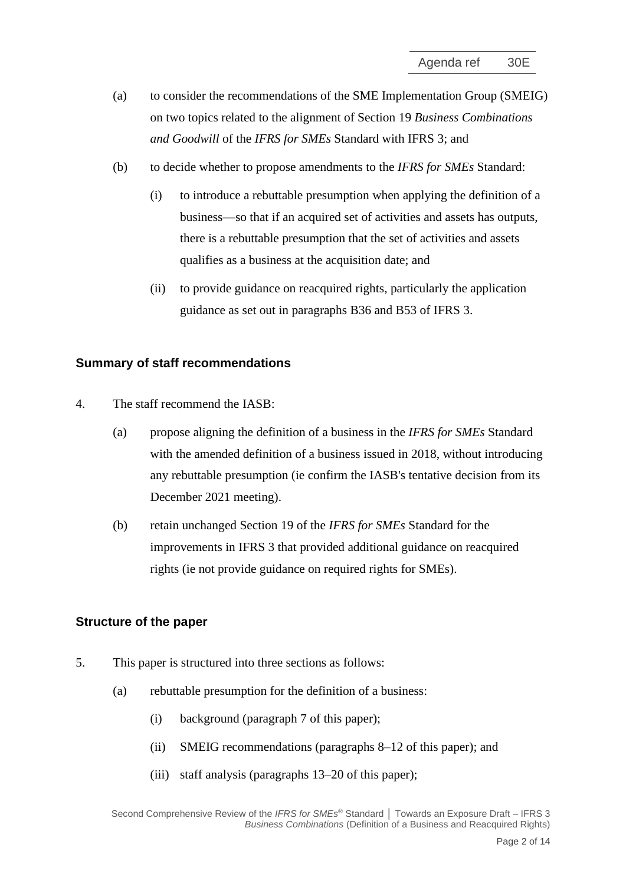- (a) to consider the recommendations of the SME Implementation Group (SMEIG) on two topics related to the alignment of Section 19 *Business Combinations and Goodwill* of the *IFRS for SMEs* Standard with IFRS 3; and
- (b) to decide whether to propose amendments to the *IFRS for SMEs* Standard:
	- (i) to introduce a rebuttable presumption when applying the definition of a business—so that if an acquired set of activities and assets has outputs, there is a rebuttable presumption that the set of activities and assets qualifies as a business at the acquisition date; and
	- (ii) to provide guidance on reacquired rights, particularly the application guidance as set out in paragraphs B36 and B53 of IFRS 3.

#### **Summary of staff recommendations**

- 4. The staff recommend the IASB:
	- (a) propose aligning the definition of a business in the *IFRS for SMEs* Standard with the amended definition of a business issued in 2018, without introducing any rebuttable presumption (ie confirm the IASB's tentative decision from its December 2021 meeting).
	- (b) retain unchanged Section 19 of the *IFRS for SMEs* Standard for the improvements in IFRS 3 that provided additional guidance on reacquired rights (ie not provide guidance on required rights for SMEs).

#### **Structure of the paper**

- 5. This paper is structured into three sections as follows:
	- (a) rebuttable presumption for the definition of a business:
		- (i) background (paragraph [7](#page-2-0) of this paper);
		- (ii) SMEIG recommendations (paragraphs [8–](#page-3-0)[12](#page-4-0) of this paper); and
		- (iii) staff analysis (paragraphs [13–](#page-5-0)[20](#page-6-0) of this paper);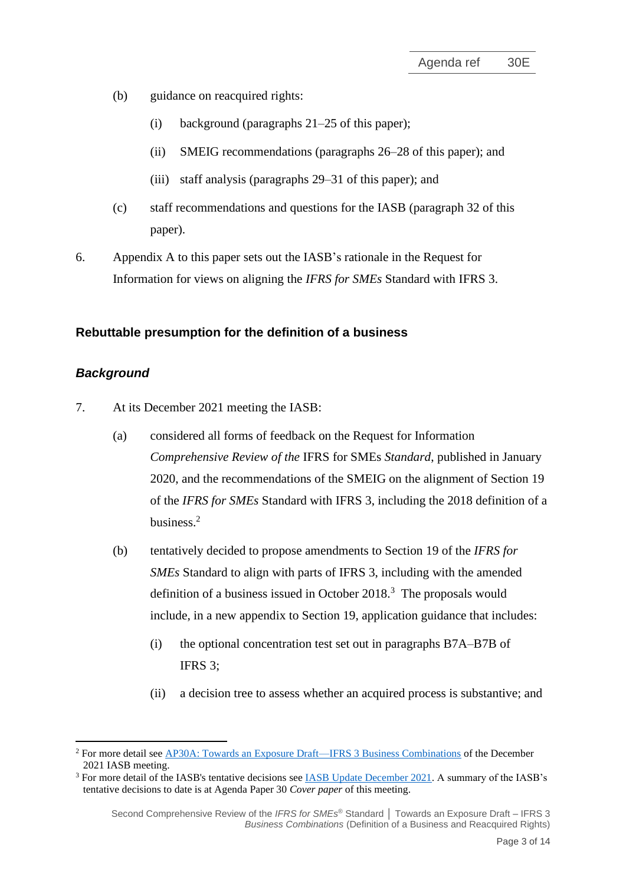- (b) guidance on reacquired rights:
	- (i) background (paragraphs [21](#page-6-1)[–25](#page-7-0) of this paper);
	- (ii) SMEIG recommendations (paragraphs [26–](#page-8-0)[28](#page-8-1) of this paper); and
	- (iii) staff analysis (paragraphs [29–](#page-8-2)[31](#page-9-0) of this paper); and
- (c) staff recommendations and questions for the IASB (paragraph [32](#page-9-1) of this paper).
- 6. Appendix A to this paper sets out the IASB's rationale in the Request for Information for views on aligning the *IFRS for SMEs* Standard with IFRS 3.

#### **Rebuttable presumption for the definition of a business**

#### *Background*

- <span id="page-2-0"></span>7. At its December 2021 meeting the IASB:
	- (a) considered all forms of feedback on the Request for Information *Comprehensive Review of the* IFRS for SMEs *Standard*, published in January 2020, and the recommendations of the SMEIG on the alignment of Section 19 of the *IFRS for SMEs* Standard with IFRS 3, including the 2018 definition of a business.<sup>2</sup>
	- (b) tentatively decided to propose amendments to Section 19 of the *IFRS for SMEs* Standard to align with parts of IFRS 3, including with the amended definition of a business issued in October 2018. $3$  The proposals would include, in a new appendix to Section 19, application guidance that includes:
		- (i) the optional concentration test set out in paragraphs B7A–B7B of IFRS 3;
		- (ii) a decision tree to assess whether an acquired process is substantive; and

<sup>2</sup> For more detail see [AP30A: Towards an Exposure Draft—IFRS 3 Business Combinations](https://www.ifrs.org/content/dam/ifrs/meetings/2021/december/iasb/ap30a-towards-and-exposure-draft-ifrs-3-business-combinations.pdf) of the December 2021 IASB meeting.

<sup>3</sup> For more detail of the IASB's tentative decisions see [IASB Update December 2021.](https://www.ifrs.org/news-and-events/updates/iasb/2021/iasb-update-december-2021/#5) A summary of the IASB's tentative decisions to date is at Agenda Paper 30 *Cover paper* of this meeting.

Second Comprehensive Review of the *IFRS for SMEs* ® Standard **│** Towards an Exposure Draft – IFRS 3 *Business Combinations* (Definition of a Business and Reacquired Rights)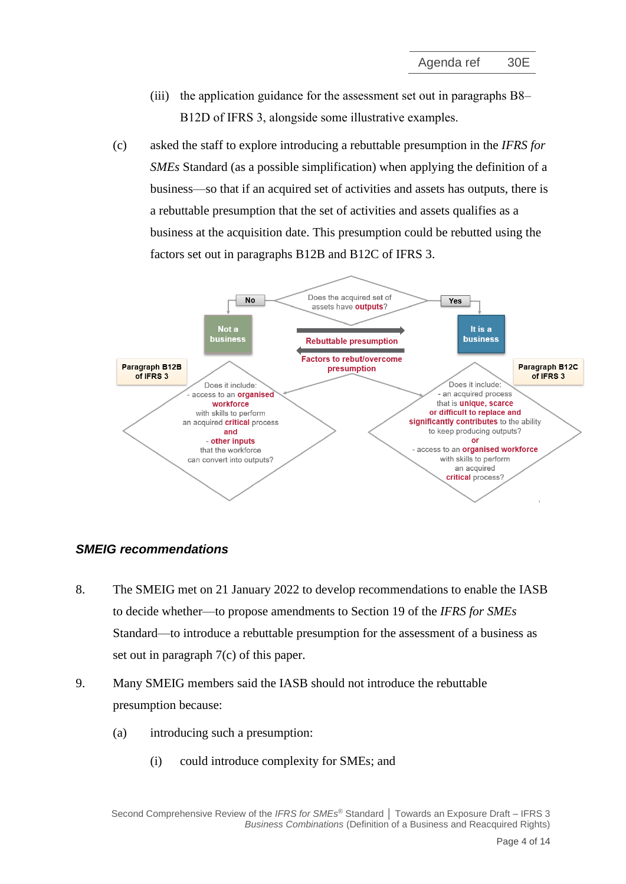- (iii) the application guidance for the assessment set out in paragraphs B8– B12D of IFRS 3, alongside some illustrative examples.
- <span id="page-3-1"></span>(c) asked the staff to explore introducing a rebuttable presumption in the *IFRS for SMEs* Standard (as a possible simplification) when applying the definition of a business—so that if an acquired set of activities and assets has outputs, there is a rebuttable presumption that the set of activities and assets qualifies as a business at the acquisition date. This presumption could be rebutted using the factors set out in paragraphs B12B and B12C of IFRS 3.



## *SMEIG recommendations*

- <span id="page-3-0"></span>8. The SMEIG met on 21 January 2022 to develop recommendations to enable the IASB to decide whether—to propose amendments to Section 19 of the *IFRS for SMEs* Standard—to introduce a rebuttable presumption for the assessment of a business as set out in paragraph [7\(c\)](#page-3-1) of this paper.
- <span id="page-3-2"></span>9. Many SMEIG members said the IASB should not introduce the rebuttable presumption because:
	- (a) introducing such a presumption:
		- (i) could introduce complexity for SMEs; and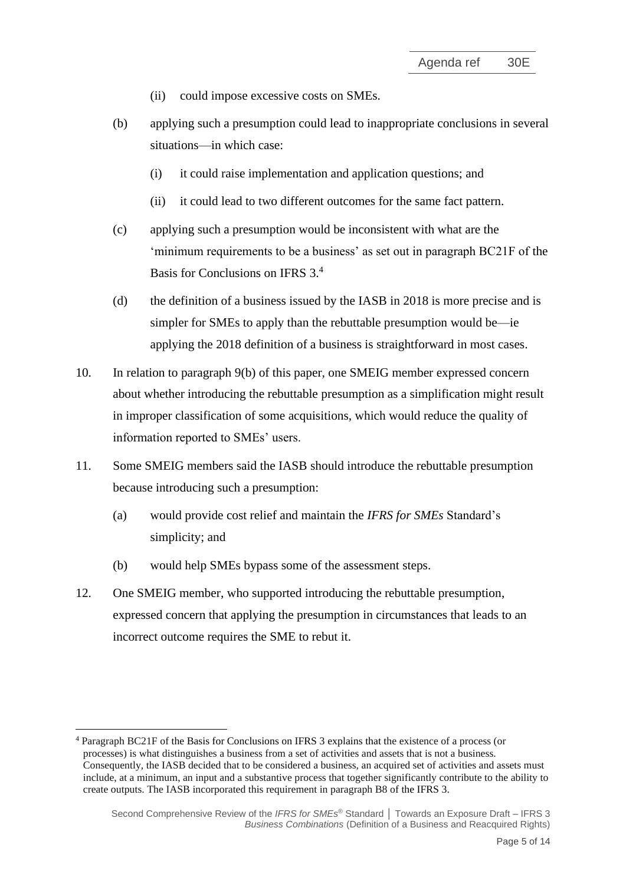- (ii) could impose excessive costs on SMEs.
- <span id="page-4-1"></span>(b) applying such a presumption could lead to inappropriate conclusions in several situations—in which case:
	- (i) it could raise implementation and application questions; and
	- (ii) it could lead to two different outcomes for the same fact pattern.
- (c) applying such a presumption would be inconsistent with what are the 'minimum requirements to be a business' as set out in paragraph BC21F of the Basis for Conclusions on IFRS 3.<sup>4</sup>
- (d) the definition of a business issued by the IASB in 2018 is more precise and is simpler for SMEs to apply than the rebuttable presumption would be—ie applying the 2018 definition of a business is straightforward in most cases.
- <span id="page-4-2"></span>10. In relation to paragraph [9\(b\)](#page-4-1) of this paper, one SMEIG member expressed concern about whether introducing the rebuttable presumption as a simplification might result in improper classification of some acquisitions, which would reduce the quality of information reported to SMEs' users.
- 11. Some SMEIG members said the IASB should introduce the rebuttable presumption because introducing such a presumption:
	- (a) would provide cost relief and maintain the *IFRS for SMEs* Standard's simplicity; and
	- (b) would help SMEs bypass some of the assessment steps.
- <span id="page-4-0"></span>12. One SMEIG member, who supported introducing the rebuttable presumption, expressed concern that applying the presumption in circumstances that leads to an incorrect outcome requires the SME to rebut it.

<sup>4</sup> Paragraph BC21F of the Basis for Conclusions on IFRS 3 explains that the existence of a process (or processes) is what distinguishes a business from a set of activities and assets that is not a business. Consequently, the IASB decided that to be considered a business, an acquired set of activities and assets must include, at a minimum, an input and a substantive process that together significantly contribute to the ability to create outputs. The IASB incorporated this requirement in paragraph B8 of the IFRS 3.

Second Comprehensive Review of the *IFRS for SMEs* ® Standard **│** Towards an Exposure Draft – IFRS 3 *Business Combinations* (Definition of a Business and Reacquired Rights)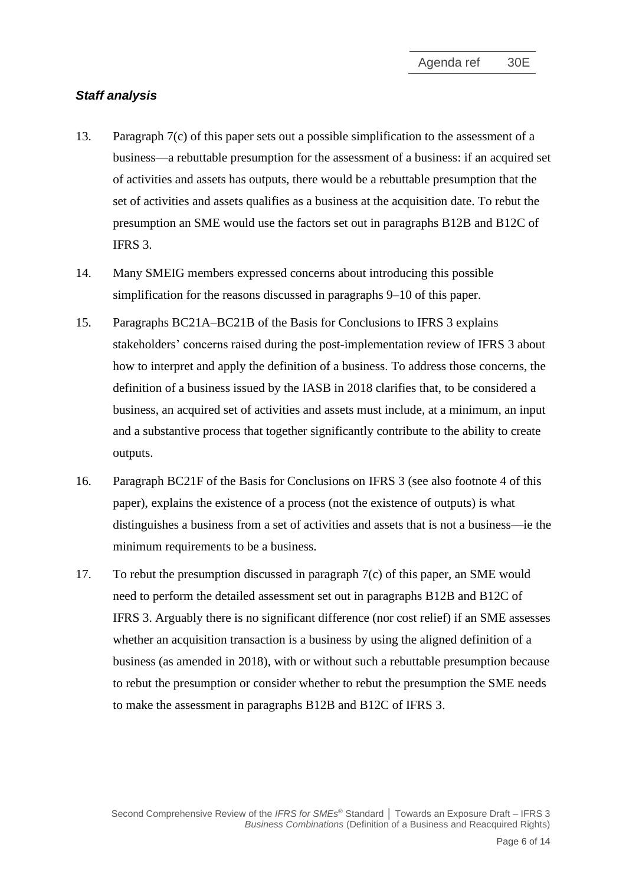#### *Staff analysis*

- <span id="page-5-0"></span>13. Paragraph [7\(c\)](#page-3-1) of this paper sets out a possible simplification to the assessment of a business—a rebuttable presumption for the assessment of a business: if an acquired set of activities and assets has outputs, there would be a rebuttable presumption that the set of activities and assets qualifies as a business at the acquisition date. To rebut the presumption an SME would use the factors set out in paragraphs B12B and B12C of IFRS 3.
- 14. Many SMEIG members expressed concerns about introducing this possible simplification for the reasons discussed in paragraphs [9](#page-3-2)[–10](#page-4-2) of this paper.
- 15. Paragraphs BC21A–BC21B of the Basis for Conclusions to IFRS 3 explains stakeholders' concerns raised during the post-implementation review of IFRS 3 about how to interpret and apply the definition of a business. To address those concerns, the definition of a business issued by the IASB in 2018 clarifies that, to be considered a business, an acquired set of activities and assets must include, at a minimum, an input and a substantive process that together significantly contribute to the ability to create outputs.
- 16. Paragraph BC21F of the Basis for Conclusions on IFRS 3 (see also footnote 4 of this paper), explains the existence of a process (not the existence of outputs) is what distinguishes a business from a set of activities and assets that is not a business—ie the minimum requirements to be a business.
- 17. To rebut the presumption discussed in paragraph [7\(c\)](#page-3-1) of this paper, an SME would need to perform the detailed assessment set out in paragraphs B12B and B12C of IFRS 3. Arguably there is no significant difference (nor cost relief) if an SME assesses whether an acquisition transaction is a business by using the aligned definition of a business (as amended in 2018), with or without such a rebuttable presumption because to rebut the presumption or consider whether to rebut the presumption the SME needs to make the assessment in paragraphs B12B and B12C of IFRS 3.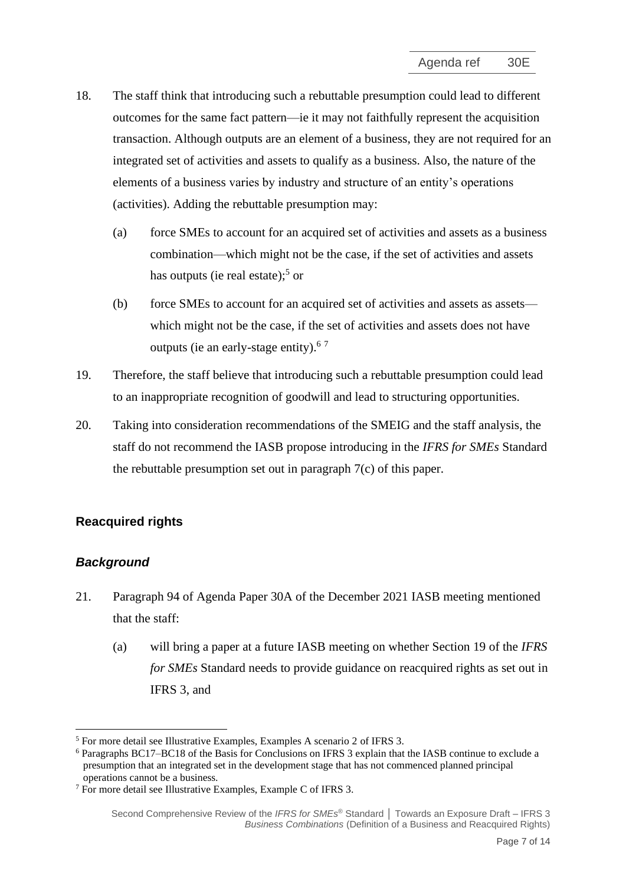- 18. The staff think that introducing such a rebuttable presumption could lead to different outcomes for the same fact pattern—ie it may not faithfully represent the acquisition transaction. Although outputs are an element of a business, they are not required for an integrated set of activities and assets to qualify as a business. Also, the nature of the elements of a business varies by industry and structure of an entity's operations (activities). Adding the rebuttable presumption may:
	- (a) force SMEs to account for an acquired set of activities and assets as a business combination—which might not be the case, if the set of activities and assets has outputs (ie real estate);<sup>5</sup> or
	- (b) force SMEs to account for an acquired set of activities and assets as assets which might not be the case, if the set of activities and assets does not have outputs (ie an early-stage entity).<sup>67</sup>
- 19. Therefore, the staff believe that introducing such a rebuttable presumption could lead to an inappropriate recognition of goodwill and lead to structuring opportunities.
- <span id="page-6-0"></span>20. Taking into consideration recommendations of the SMEIG and the staff analysis, the staff do not recommend the IASB propose introducing in the *IFRS for SMEs* Standard the rebuttable presumption set out in paragraph [7\(c\)](#page-3-1) of this paper.

# **Reacquired rights**

# *Background*

- <span id="page-6-1"></span>21. Paragraph 94 of Agenda Paper 30A of the December 2021 IASB meeting mentioned that the staff:
	- (a) will bring a paper at a future IASB meeting on whether Section 19 of the *IFRS for SMEs* Standard needs to provide guidance on reacquired rights as set out in IFRS 3, and

<sup>5</sup> For more detail see Illustrative Examples, Examples A scenario 2 of IFRS 3.

<sup>6</sup> Paragraphs BC17–BC18 of the Basis for Conclusions on IFRS 3 explain that the IASB continue to exclude a presumption that an integrated set in the development stage that has not commenced planned principal operations cannot be a business.

<sup>7</sup> For more detail see Illustrative Examples, Example C of IFRS 3.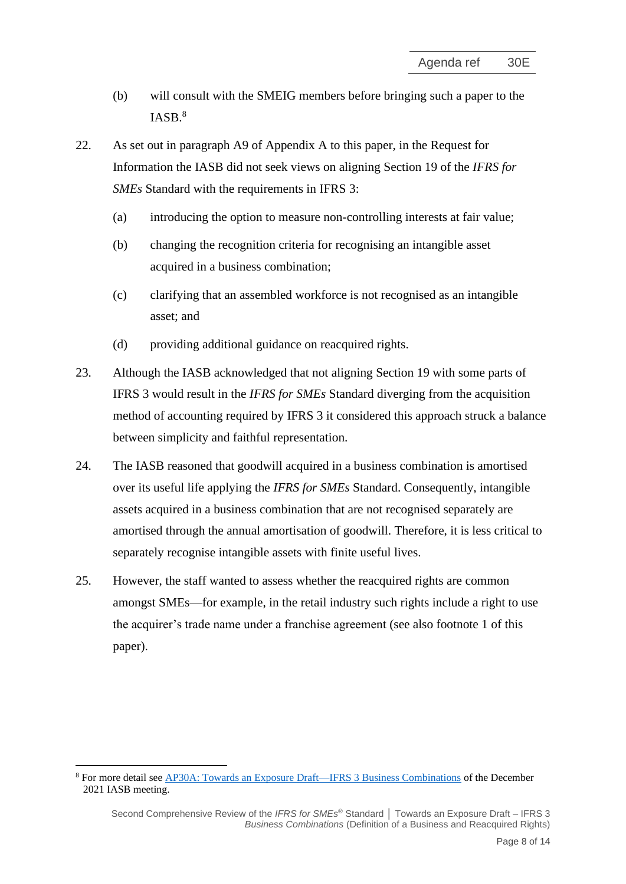- (b) will consult with the SMEIG members before bringing such a paper to the IASB. 8
- <span id="page-7-1"></span>22. As set out in paragraph [A9](#page-12-0) of Appendix A to this paper, in the Request for Information the IASB did not seek views on aligning Section 19 of the *IFRS for SMEs* Standard with the requirements in IFRS 3:
	- (a) introducing the option to measure non-controlling interests at fair value;
	- (b) changing the recognition criteria for recognising an intangible asset acquired in a business combination;
	- (c) clarifying that an assembled workforce is not recognised as an intangible asset; and
	- (d) providing additional guidance on reacquired rights.
- 23. Although the IASB acknowledged that not aligning Section 19 with some parts of IFRS 3 would result in the *IFRS for SMEs* Standard diverging from the acquisition method of accounting required by IFRS 3 it considered this approach struck a balance between simplicity and faithful representation.
- 24. The IASB reasoned that goodwill acquired in a business combination is amortised over its useful life applying the *IFRS for SMEs* Standard. Consequently, intangible assets acquired in a business combination that are not recognised separately are amortised through the annual amortisation of goodwill. Therefore, it is less critical to separately recognise intangible assets with finite useful lives.
- <span id="page-7-0"></span>25. However, the staff wanted to assess whether the reacquired rights are common amongst SMEs—for example, in the retail industry such rights include a right to use the acquirer's trade name under a franchise agreement (see also footnote 1 of this paper).

<sup>8</sup> For more detail see [AP30A: Towards an Exposure Draft—IFRS 3 Business Combinations](https://www.ifrs.org/content/dam/ifrs/meetings/2021/december/iasb/ap30a-towards-and-exposure-draft-ifrs-3-business-combinations.pdf) of the December 2021 IASB meeting.

Second Comprehensive Review of the *IFRS for SMEs* ® Standard **│** Towards an Exposure Draft – IFRS 3 *Business Combinations* (Definition of a Business and Reacquired Rights)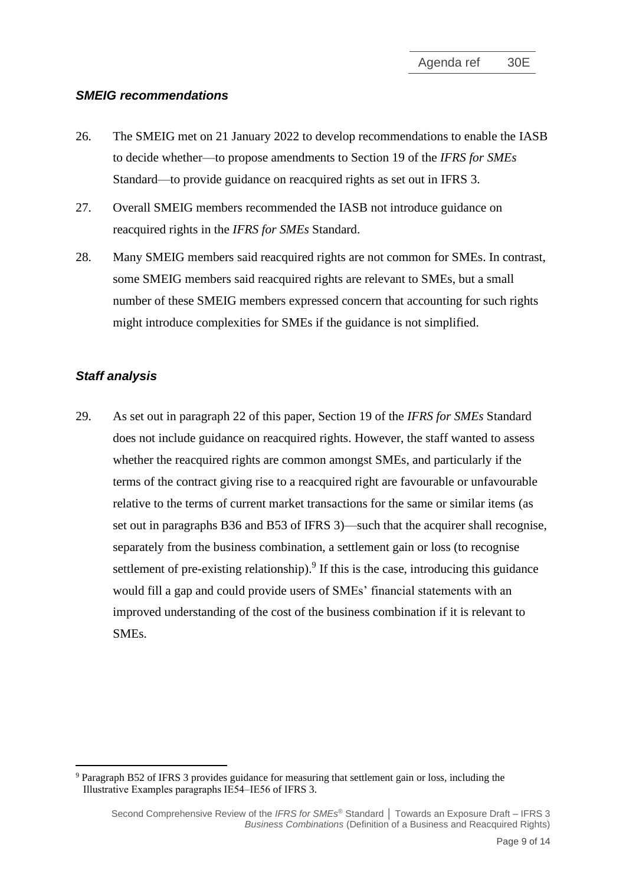#### *SMEIG recommendations*

- <span id="page-8-0"></span>26. The SMEIG met on 21 January 2022 to develop recommendations to enable the IASB to decide whether—to propose amendments to Section 19 of the *IFRS for SMEs*  Standard—to provide guidance on reacquired rights as set out in IFRS 3.
- 27. Overall SMEIG members recommended the IASB not introduce guidance on reacquired rights in the *IFRS for SMEs* Standard.
- <span id="page-8-1"></span>28. Many SMEIG members said reacquired rights are not common for SMEs. In contrast, some SMEIG members said reacquired rights are relevant to SMEs, but a small number of these SMEIG members expressed concern that accounting for such rights might introduce complexities for SMEs if the guidance is not simplified.

## *Staff analysis*

<span id="page-8-2"></span>29. As set out in paragraph [22](#page-7-1) of this paper, Section 19 of the *IFRS for SMEs* Standard does not include guidance on reacquired rights. However, the staff wanted to assess whether the reacquired rights are common amongst SMEs, and particularly if the terms of the contract giving rise to a reacquired right are favourable or unfavourable relative to the terms of current market transactions for the same or similar items (as set out in paragraphs B36 and B53 of IFRS 3)—such that the acquirer shall recognise, separately from the business combination, a settlement gain or loss (to recognise settlement of pre-existing relationship).<sup>9</sup> If this is the case, introducing this guidance would fill a gap and could provide users of SMEs' financial statements with an improved understanding of the cost of the business combination if it is relevant to SMEs.

<sup>9</sup> Paragraph B52 of IFRS 3 provides guidance for measuring that settlement gain or loss, including the Illustrative Examples paragraphs IE54–IE56 of IFRS 3.

Second Comprehensive Review of the *IFRS for SMEs* ® Standard **│** Towards an Exposure Draft – IFRS 3 *Business Combinations* (Definition of a Business and Reacquired Rights)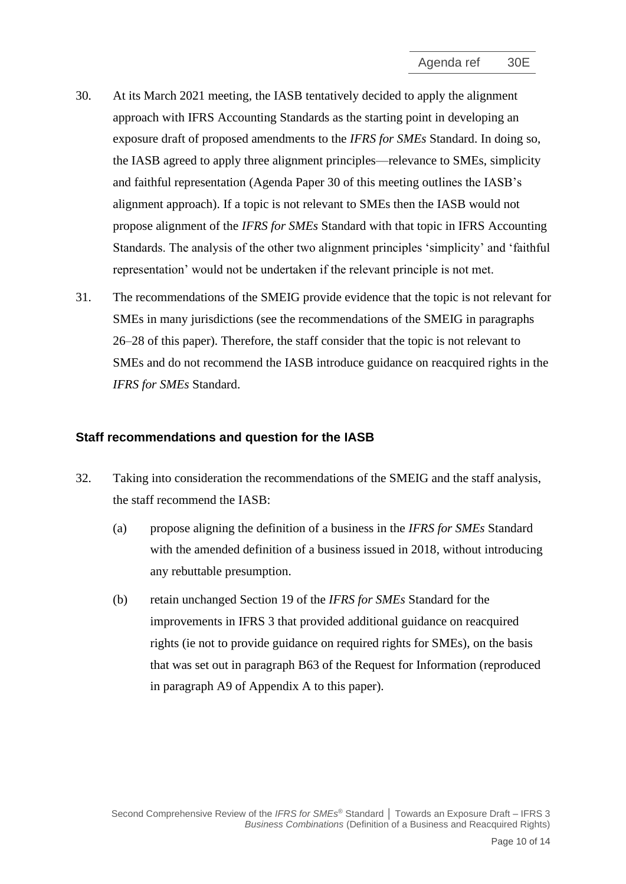- 30. At its March 2021 meeting, the IASB tentatively decided to apply the alignment approach with IFRS Accounting Standards as the starting point in developing an exposure draft of proposed amendments to the *IFRS for SMEs* Standard. In doing so, the IASB agreed to apply three alignment principles—relevance to SMEs, simplicity and faithful representation (Agenda Paper 30 of this meeting outlines the IASB's alignment approach). If a topic is not relevant to SMEs then the IASB would not propose alignment of the *IFRS for SMEs* Standard with that topic in IFRS Accounting Standards. The analysis of the other two alignment principles 'simplicity' and 'faithful representation' would not be undertaken if the relevant principle is not met.
- <span id="page-9-0"></span>31. The recommendations of the SMEIG provide evidence that the topic is not relevant for SMEs in many jurisdictions (see the recommendations of the SMEIG in paragraphs [26–](#page-8-0)[28](#page-8-1) of this paper). Therefore, the staff consider that the topic is not relevant to SMEs and do not recommend the IASB introduce guidance on reacquired rights in the *IFRS for SMEs* Standard.

#### **Staff recommendations and question for the IASB**

- <span id="page-9-1"></span>32. Taking into consideration the recommendations of the SMEIG and the staff analysis, the staff recommend the IASB:
	- (a) propose aligning the definition of a business in the *IFRS for SMEs* Standard with the amended definition of a business issued in 2018, without introducing any rebuttable presumption.
	- (b) retain unchanged Section 19 of the *IFRS for SMEs* Standard for the improvements in IFRS 3 that provided additional guidance on reacquired rights (ie not to provide guidance on required rights for SMEs), on the basis that was set out in paragraph B63 of the Request for Information (reproduced in paragraph [A9](#page-12-0) of Appendix A to this paper).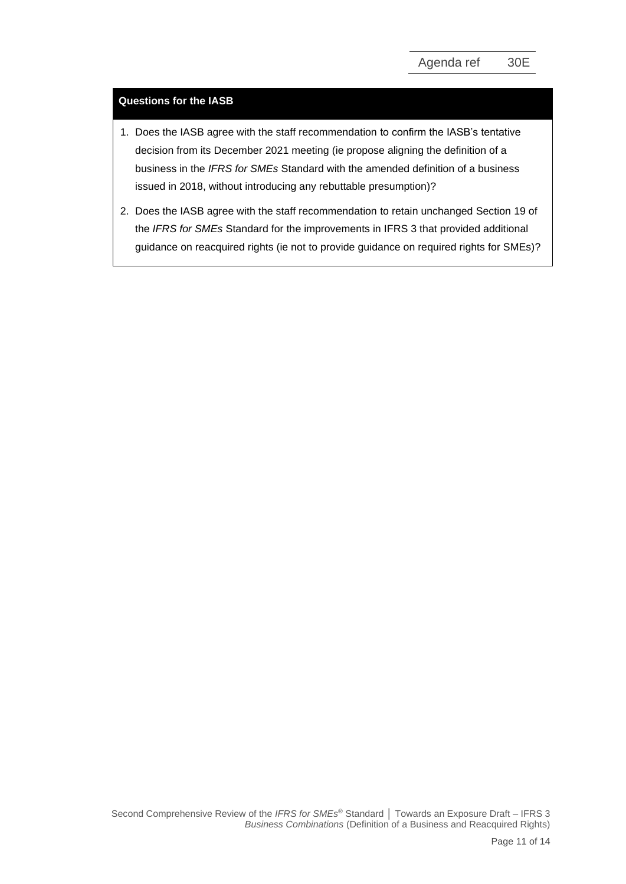#### **Questions for the IASB**

- 1. Does the IASB agree with the staff recommendation to confirm the IASB's tentative decision from its December 2021 meeting (ie propose aligning the definition of a business in the *IFRS for SMEs* Standard with the amended definition of a business issued in 2018, without introducing any rebuttable presumption)?
- 2. Does the IASB agree with the staff recommendation to retain unchanged Section 19 of the *IFRS for SMEs* Standard for the improvements in IFRS 3 that provided additional guidance on reacquired rights (ie not to provide guidance on required rights for SMEs)?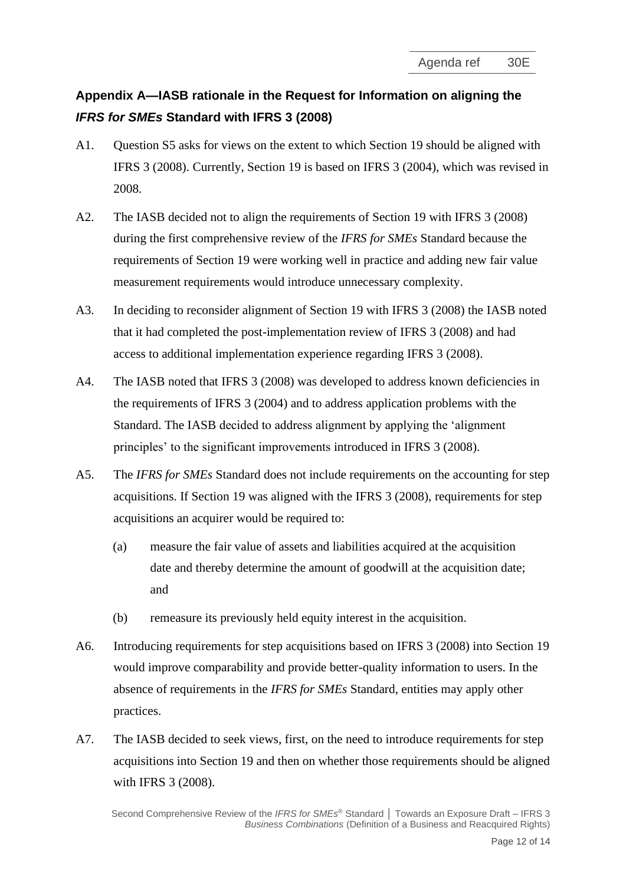# **Appendix A—IASB rationale in the Request for Information on aligning the**  *IFRS for SMEs* **Standard with IFRS 3 (2008)**

- A1. Question S5 asks for views on the extent to which Section 19 should be aligned with IFRS 3 (2008). Currently, Section 19 is based on IFRS 3 (2004), which was revised in 2008.
- A2. The IASB decided not to align the requirements of Section 19 with IFRS 3 (2008) during the first comprehensive review of the *IFRS for SMEs* Standard because the requirements of Section 19 were working well in practice and adding new fair value measurement requirements would introduce unnecessary complexity.
- A3. In deciding to reconsider alignment of Section 19 with IFRS 3 (2008) the IASB noted that it had completed the post-implementation review of IFRS 3 (2008) and had access to additional implementation experience regarding IFRS 3 (2008).
- A4. The IASB noted that IFRS 3 (2008) was developed to address known deficiencies in the requirements of IFRS 3 (2004) and to address application problems with the Standard. The IASB decided to address alignment by applying the 'alignment principles' to the significant improvements introduced in IFRS 3 (2008).
- A5. The *IFRS for SMEs* Standard does not include requirements on the accounting for step acquisitions. If Section 19 was aligned with the IFRS 3 (2008), requirements for step acquisitions an acquirer would be required to:
	- (a) measure the fair value of assets and liabilities acquired at the acquisition date and thereby determine the amount of goodwill at the acquisition date; and
	- (b) remeasure its previously held equity interest in the acquisition.
- A6. Introducing requirements for step acquisitions based on IFRS 3 (2008) into Section 19 would improve comparability and provide better-quality information to users. In the absence of requirements in the *IFRS for SMEs* Standard, entities may apply other practices.
- A7. The IASB decided to seek views, first, on the need to introduce requirements for step acquisitions into Section 19 and then on whether those requirements should be aligned with IFRS 3 (2008).

Second Comprehensive Review of the *IFRS for SMEs* ® Standard **│** Towards an Exposure Draft – IFRS 3 *Business Combinations* (Definition of a Business and Reacquired Rights)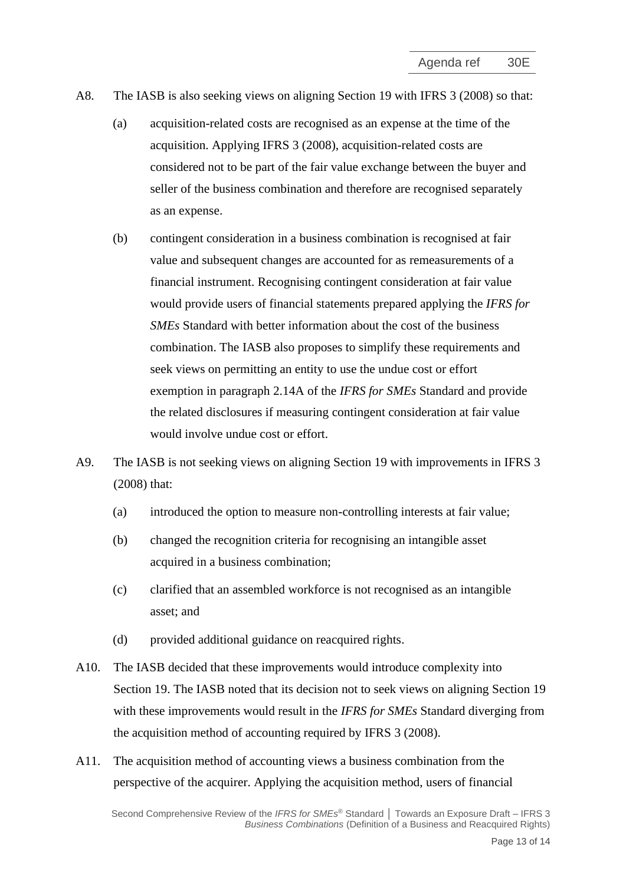- A8. The IASB is also seeking views on aligning Section 19 with IFRS 3 (2008) so that:
	- (a) acquisition-related costs are recognised as an expense at the time of the acquisition. Applying IFRS 3 (2008), acquisition-related costs are considered not to be part of the fair value exchange between the buyer and seller of the business combination and therefore are recognised separately as an expense.
	- (b) contingent consideration in a business combination is recognised at fair value and subsequent changes are accounted for as remeasurements of a financial instrument. Recognising contingent consideration at fair value would provide users of financial statements prepared applying the *IFRS for SMEs* Standard with better information about the cost of the business combination. The IASB also proposes to simplify these requirements and seek views on permitting an entity to use the undue cost or effort exemption in paragraph 2.14A of the *IFRS for SMEs* Standard and provide the related disclosures if measuring contingent consideration at fair value would involve undue cost or effort.
- <span id="page-12-0"></span>A9. The IASB is not seeking views on aligning Section 19 with improvements in IFRS 3 (2008) that:
	- (a) introduced the option to measure non-controlling interests at fair value;
	- (b) changed the recognition criteria for recognising an intangible asset acquired in a business combination;
	- (c) clarified that an assembled workforce is not recognised as an intangible asset; and
	- (d) provided additional guidance on reacquired rights.
- A10. The IASB decided that these improvements would introduce complexity into Section 19. The IASB noted that its decision not to seek views on aligning Section 19 with these improvements would result in the *IFRS for SMEs* Standard diverging from the acquisition method of accounting required by IFRS 3 (2008).
- A11. The acquisition method of accounting views a business combination from the perspective of the acquirer. Applying the acquisition method, users of financial